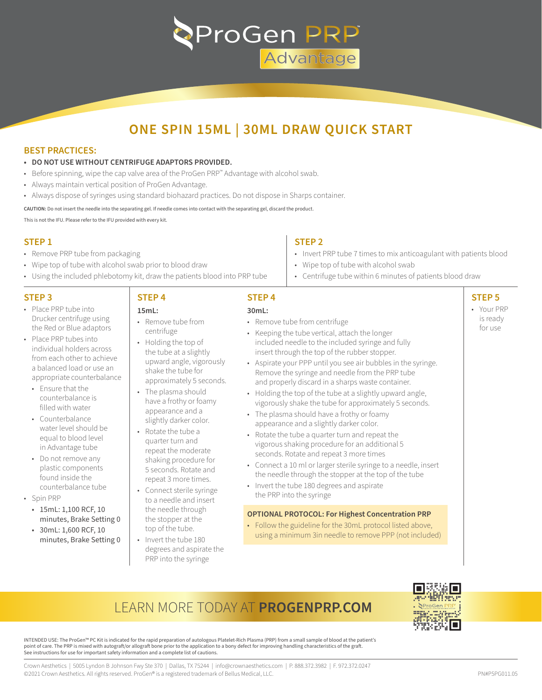

## **ONE SPIN 15ML | 30ML DRAW QUICK START**

### **BEST PRACTICES:**

- **• DO NOT USE WITHOUT CENTRIFUGE ADAPTORS PROVIDED.**
- Before spinning, wipe the cap valve area of the ProGen PRP<sup>™</sup> Advantage with alcohol swab.
- Always maintain vertical position of ProGen Advantage.
- Always dispose of syringes using standard biohazard practices. Do not dispose in Sharps container.

**CAUTION:** Do not insert the needle into the separating gel. If needle comes into contact with the separating gel, discard the product. This is not the IFU. Please refer to the IFU provided with every kit.

**STEP 1**

- Remove PRP tube from packaging
- Wipe top of tube with alcohol swab prior to blood draw
- Using the included phlebotomy kit, draw the patients blood into PRP tube

**STEP 4 15mL:**

#### **STEP 3**

- Place PRP tube into Drucker centrifuge using the Red or Blue adaptors
- Place PRP tubes into individual holders across from each other to achieve a balanced load or use an appropriate counterbalance
	- Ensure that the counterbalance is filled with water
	- Counterbalance water level should be equal to blood level in Advantage tube
	- Do not remove any plastic components found inside the counterbalance tube
- Spin PRP
	- 15mL: 1,100 RCF, 10 minutes, Brake Setting 0
	- 30mL: 1,600 RCF, 10 minutes, Brake Setting 0

# **STEP 2**

- Invert PRP tube 7 times to mix anticoagulant with patients blood
- Wipe top of tube with alcohol swab
- Centrifuge tube within 6 minutes of patients blood draw

### **STEP 5**

• Your PRP is ready for use

### **STEP 4**

- Remove tube from centrifuge
- Holding the top of the tube at a slightly upward angle, vigorously shake the tube for approximately 5 seconds.
- The plasma should have a frothy or foamy appearance and a slightly darker color.
- Rotate the tube a quarter turn and repeat the moderate shaking procedure for 5 seconds. Rotate and repeat 3 more times.
- Connect sterile syringe to a needle and insert the needle through the stopper at the top of the tube.
- Invert the tube 180 degrees and aspirate the PRP into the syringe
- **30mL:** • Remove tube from centrifuge
- Keeping the tube vertical, attach the longer included needle to the included syringe and fully insert through the top of the rubber stopper.
- Aspirate your PPP until you see air bubbles in the syringe. Remove the syringe and needle from the PRP tube and properly discard in a sharps waste container.
- Holding the top of the tube at a slightly upward angle, vigorously shake the tube for approximately 5 seconds.
- The plasma should have a frothy or foamy appearance and a slightly darker color.
- Rotate the tube a quarter turn and repeat the vigorous shaking procedure for an additional 5 seconds. Rotate and repeat 3 more times
- Connect a 10 ml or larger sterile syringe to a needle, insert the needle through the stopper at the top of the tube
- Invert the tube 180 degrees and aspirate the PRP into the syringe

#### **OPTIONAL PROTOCOL: For Highest Concentration PRP**

• Follow the guideline for the 30mL protocol listed above, using a minimum 3in needle to remove PPP (not included)

### LEARN MORE TODAY AT **PROGENPRP.COM**



INTENDED USE: The ProGen™ PC Kit is indicated for the rapid preparation of autologous Platelet-Rich Plasma (PRP) from a small sample of blood at the patient's point of care. The PRP is mixed with autograft/or allograft bone prior to the application to a bony defect for improving handling characteristics of the graft. See instructions for use for important safety information and a complete list of cautions.

Crown Aesthetics | 5005 Lyndon B Johnson Fwy Ste 370 | Dallas, TX 75244 | info@crownaesthetics.com | P. 888.372.3982 | F. 972.372.0247 ©2021 Crown Aesthetics. All rights reserved. ProGen® is a registered trademark of Bellus Medical, LLC. PN#P5PG011.05